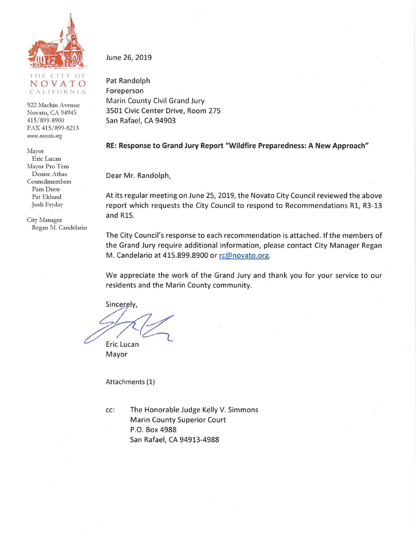

FAX 415/899-8213 *www.novato.org* 

Mayor Eric Lucan Mayor Pro Tem Denise Athas Councilmembers Pam Drew Pat Eklund Josh Fryday

City Manager Regan M. Candelario June 26, 2019

922 Machin Avenue Marin County Civil Grand Jury Novato, CA 94945 3501 Civic Center Drive, Room 275 415/899-8900 San Rafael, CA 94903

#### **RE: Response to Grand Jury Report "Wildfire Preparedness: A New Approach"**

Dear Mr. Randolph,

At its regular meeting on June 25, 2019, the Novato City Council reviewed the above report which requests the City Council to respond to Recommendations R1, R3-13 and R15.

The City Council's response to each recommendation is attached. If the members of the Grand Jury require additional information, please contact City Manager Regan M. Candelario at 415.899.8900 or rc@novato.org.

We appreciate the work of the Grand Jury and thank you for your service to our residents and the Marin County community.

Eric Lucan Sincerely,

Mayor

Attachments (1)

cc: The Honorable Judge Kelly V. Simmons **Marin County Superior Court** P.O. Box 4988 San Rafael, CA 94913-4988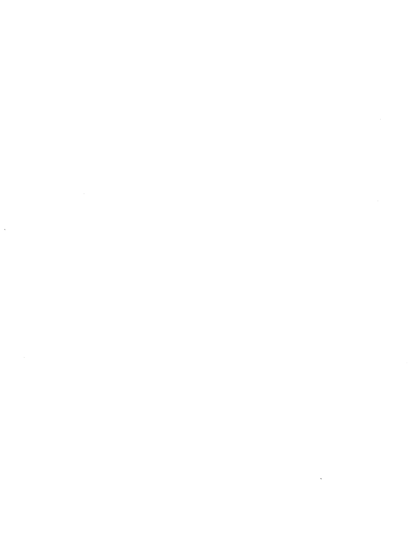$\label{eq:2.1} \frac{1}{\sqrt{2}}\int_{\mathbb{R}^3}\frac{1}{\sqrt{2}}\left(\frac{1}{\sqrt{2}}\right)^2\frac{1}{\sqrt{2}}\left(\frac{1}{\sqrt{2}}\right)^2\frac{1}{\sqrt{2}}\left(\frac{1}{\sqrt{2}}\right)^2\frac{1}{\sqrt{2}}\left(\frac{1}{\sqrt{2}}\right)^2.$  $\label{eq:2.1} \frac{1}{\sqrt{2}}\int_{0}^{\pi} \frac{1}{\sqrt{2\pi}}\left(\frac{1}{\sqrt{2\pi}}\right)^{2} \frac{1}{\sqrt{2\pi}}\int_{0}^{\pi}\frac{1}{\sqrt{2\pi}}\left(\frac{1}{\sqrt{2\pi}}\right)^{2} \frac{1}{\sqrt{2\pi}}\int_{0}^{\pi}\frac{1}{\sqrt{2\pi}}\frac{1}{\sqrt{2\pi}}\int_{0}^{\pi}\frac{1}{\sqrt{2\pi}}\frac{1}{\sqrt{2\pi}}\frac{1}{\sqrt{2\pi}}\frac{1}{\sqrt{2\pi}}\int_{0}^{\pi$ 

 $\sqrt{2}$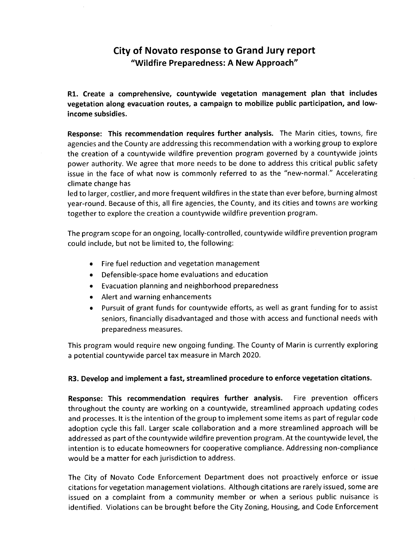# **City of Novato response to Grand Jury report "Wildfire Preparedness: A New Approach"**

**Rl. Create a comprehensive, countywide vegetation management plan that includes vegetation along evacuation routes, a campaign to mobilize public participation, and lowincome subsidies.** 

**Response: This recommendation requires further analysis.** The Marin cities, towns, fire agencies and the County are addressing this recommendation with a working group to explore the creation of a countywide wildfire prevention program governed by a countywide joints power authority. We agree that more needs to be done to address this critical public safety issue in the face of what now is commonly referred to as the "new-normal." Accelerating climate change has

led to larger, costlier, and more frequent wildfires in the state than ever before, burning almost year-round. Because of this, all fire agencies, the County, and its cities and towns are working together to explore the creation a countywide wildfire prevention program.

The program scope for an ongoing, locally-controlled, countywide wildfire prevention program could include, but not be limited to, the following:

- Fire fuel reduction and vegetation management
- Defensible-space home evaluations and education
- Evacuation planning and neighborhood preparedness
- Alert and warning enhancements
- Pursuit of grant funds for countywide efforts, as well as grant funding for to assist seniors, financially disadvantaged and those with access and functional needs with preparedness measures.

This program would require new ongoing funding. The County of Marin is currently exploring a potential countywide parcel tax measure in March 2020.

#### **R3. Develop and implement a fast, streamlined procedure to enforce vegetation citations.**

**Response: This recommendation requires further analysis.** Fire prevention officers throughout the county are working on a countywide, streamlined approach updating codes and processes. It is the intention of the group to implement some items as part of regular code adoption cycle this fall. Larger scale collaboration and a more streamlined approach will be addressed as part of the countywide wildfire prevention program. At the countywide level, the intention is to educate homeowners for cooperative compliance. Addressing non-compliance would be a matter for each jurisdiction to address.

The City of Novato Code Enforcement Department does not proactively enforce or issue citations for vegetation management violations. Although citations are rarely issued, some are issued on a complaint from a community member or when a serious public nuisance is identified. Violations can be brought before the City Zoning, Housing, and Code Enforcement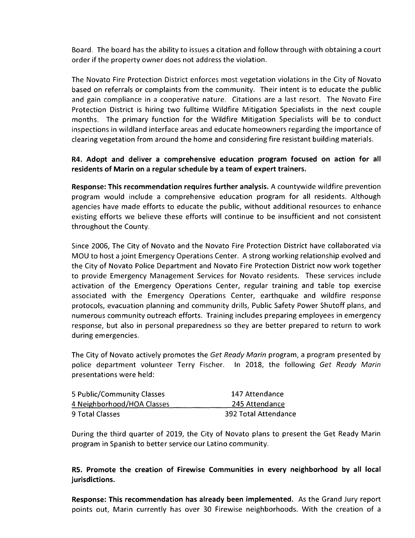Board. The board has the ability to issues a citation and follow through with obtaining a court order if the property owner does not address the violation.

The Novato Fire Protection District enforces most vegetation violations in the City of Novato based on referrals or complaints from the community. Their intent is to educate the public and gain compliance in a cooperative nature. Citations are a last resort. The Novato Fire Protection District is hiring two fulltime Wildfire Mitigation Specialists in the next couple months. The primary function for the Wildfire Mitigation Specialists will be to conduct inspections in wildland interface areas and educate homeowners regarding the importance of clearing vegetation from around the home and considering fire resistant building materials.

**R4. Adopt and deliver a comprehensive education program focused on action for all**  residents of Marin on a regular schedule by a team of expert trainers.

**Response: This recommendation requires further analysis.** A countywide wildfire prevention program would include a comprehensive education program for all residents. Although agencies have made efforts to educate the public, without additional resources to enhance existing efforts we believe these efforts will continue to be insufficient and not consistent throughout the County.

Since 2006, The City of Novato and the Novato Fire Protection District have collaborated via MOU to host a joint Emergency Operations Center. A strong working relationship evolved and the City of Novato Police Department and Novato Fire Protection District now work together to provide Emergency Management Services for Novato residents. These services include activation of the Emergency Operations Center, regular training and table top exercise associated with the Emergency Operations Center, earthquake and wildfire response protocols, evacuation planning and community drills, Public Safety Power Shutoff plans, and numerous community outreach efforts. Training includes preparing employees in emergency response, but also in personal preparedness so they are better prepared to return to work during emergencies.

The City of Novato actively promotes the *Get Ready Marin* program, a program presented by police department volunteer Terry Fischer. In 2018, the following *Get Ready Mann*  presentations were held:

| 5 Public/Community Classes | 147 Attendance       |
|----------------------------|----------------------|
| 4 Neighborhood/HOA Classes | 245 Attendance       |
| 9 Total Classes            | 392 Total Attendance |

During the third quarter of 2019, the City of Novato plans to present the Get Ready Marin program in Spanish to better service our Latino community.

**RS. Promote the creation of Firewise Communities in every neighborhood by all local jurisdictions.** 

**Response: This recommendation has already been implemented.** As the Grand Jury report points out, Marin currently has over 30 Firewise neighborhoods. With the creation of a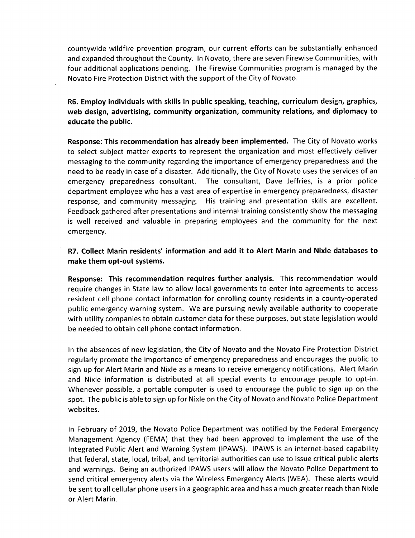countywide wildfire prevention program, our current efforts can be substantially enhanced and expanded throughout the County. In Novato, there are seven Firewise Communities, with four additional applications pending. The Firewise Communities program is managed by the Novato Fire Protection District with the support of the City of Novato.

**R6. Employ individuals with skills in public speaking, teaching, curriculum design, graphics, web design, advertising, community organization, community relations, and diplomacy to educate the public.** 

**Response: This recommendation has already been implemented.** The City of Novato works to select subject matter experts to represent the organization and most effectively deliver messaging to the community regarding the importance of emergency preparedness and the need to be ready in case of a disaster. Additionally, the City of Novato uses the services of an emergency preparedness consultant. The consultant, Dave Jeffries, is a prior police department employee who has a vast area of expertise in emergency preparedness, disaster response, and community messaging. His training and presentation skills are excellent. Feedback gathered after presentations and internal training consistently show the messaging is well received and valuable in preparing employees and the community for the next emergency.

R7. Collect Marin residents' information and add it to Alert Marin and Nixle databases to **make them opt-out systems.** 

**Response: This recommendation requires further analysis.** This recommendation would require changes in State law to allow local governments to enter into agreements to access resident cell phone contact information for enrolling county residents in a county-operated public emergency warning system. We are pursuing newly available authority to cooperate with utility companies to obtain customer data for these purposes, but state legislation would be needed to obtain cell phone contact information.

In the absences of new legislation, the City of Novato and the Novato Fire Protection District regularly promote the importance of emergency preparedness and encourages the public to sign up for Alert Marin and Nixle as a means to receive emergency notifications. Alert Marin and Nixie information is distributed at all special events to encourage people to opt-in. Whenever possible, a portable computer is used to encourage the public to sign up on the spot. The public is able to sign up for Nixie on the City of Novato and Novato Police Department websites.

In February of 2019, the Novato Police Department was notified by the Federal Emergency Management Agency (FEMA) that they had been approved to implement the use of the Integrated Public Alert and Warning System (IPAWS). IPAWS is an internet-based capability that federal, state, local, tribal, and territorial authorities can use to issue critical public alerts and warnings. Being an authorized IPAWS users will allow the Novato Police Department to send critical emergency alerts via the Wireless Emergency Alerts (WEA). These alerts would be sent to all cellular phone users in a geographic area and has a much greater reach than Nixie or Alert Marin.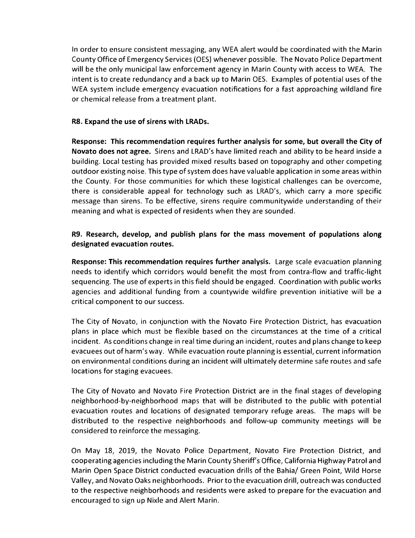In order to ensure consistent messaging, any WEA alert would be coordinated with the Marin County Office of Emergency Services (OES) whenever possible. The Novato Police Department will be the only municipal law enforcement agency in Marin County with access to WEA. The intent is to create redundancy and a back up to Marin OES. Examples of potential uses of the WEA system include emergency evacuation notifications for a fast approaching wildland fire or chemical release from a treatment plant.

#### **R8. Expand the use of sirens with LRADs.**

**Response: This recommendation requires further analysis for some, but overall the City of Novato does not agree.** Sirens and LRAD's have limited reach and ability to be heard inside a building. Local testing has provided mixed results based on topography and other competing outdoor existing noise. This type of system does have valuable application in some areas within the County. For those communities for which these logistical challenges can be overcome, there is considerable appeal for technology such as LRAD's, which carry a more specific message than sirens. To be effective, sirens require communitywide understanding of their meaning and what is expected of residents when they are sounded.

### **R9. Research, develop, and publish plans for the mass movement of populations along designated evacuation routes.**

**Response: This recommendation requires further analysis.** Large scale evacuation planning needs to identify which corridors would benefit the most from contra-flow and traffic-light sequencing. The use of experts in this field should be engaged. Coordination with public works agencies and additional funding from a countywide wildfire prevention initiative will be a critical component to our success.

The City of Novato, in conjunction with the Novato Fire Protection District, has evacuation plans in place which must be flexible based on the circumstances at the time of a critical incident. As conditions change in real time during an incident, routes and plans change to keep evacuees out of harm's way. While evacuation route planning is essential, current information on environmental conditions during an incident will ultimately determine safe routes and safe locations for staging evacuees.

The City of Novato and Novato Fire Protection District are in the final stages of developing neighborhood-by-neighborhood maps that will be distributed to the public with potential evacuation routes and locations of designated temporary refuge areas. The maps will be distributed to the respective neighborhoods and follow-up community meetings will be considered to reinforce the messaging.

On May 18, 2019, the Novato Police Department, Novato Fire Protection District, and cooperating agencies including the Mann County Sheriff's Office, California Highway Patrol and Marin Open Space District conducted evacuation drills of the Bahia/ Green Point, Wild Horse Valley, and Novato Oaks neighborhoods. Prior to the evacuation drill, outreach was conducted to the respective neighborhoods and residents were asked to prepare for the evacuation and encouraged to sign up Nixle and Alert Marin.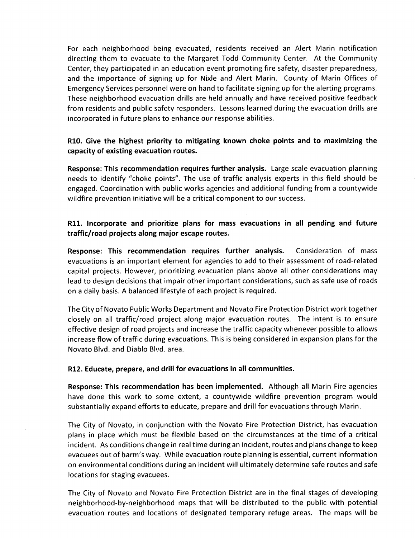For each neighborhood being evacuated, residents received an Alert Marin notification directing them to evacuate to the Margaret Todd Community Center. At the Community Center, they participated in an education event promoting fire safety, disaster preparedness, and the importance of signing up for Nixle and Alert Marin. County of Marin Offices of Emergency Services personnel were on hand to facilitate signing up for the alerting programs. These neighborhood evacuation drills are held annually and have received positive feedback from residents and public safety responders. Lessons learned during the evacuation drills are incorporated in future plans to enhance our response abilities.

## **R10. Give the highest priority to mitigating known choke points and to maximizing the capacity of existing evacuation routes.**

**Response: This recommendation requires further analysis.** Large scale evacuation planning needs to identify "choke points". The use of traffic analysis experts in this field should be engaged. Coordination with public works agencies and additional funding from a countywide wildfire prevention initiative will be a critical component to our success.

# **R11. Incorporate and prioritize plans for mass evacuations in all pending and future traffic/road projects along major escape routes.**

**Response: This recommendation requires further analysis.** Consideration of mass evacuations is an important element for agencies to add to their assessment of road-related capital projects. However, prioritizing evacuation plans above all other considerations may lead to design decisions that impair other important considerations, such as safe use of roads on a daily basis. A balanced lifestyle of each project is required.

The City of Novato Public Works Department and Novato Fire Protection District work together closely on all traffic/road project along major evacuation routes. The intent is to ensure effective design of road projects and increase the traffic capacity whenever possible to allows increase flow of traffic during evacuations. This is being considered in expansion plans for the Novato Blvd. and Diablo Blvd. area.

#### **R12. Educate, prepare, and drill for evacuations in all communities.**

**Response: This recommendation has been implemented.** Although all Marin Fire agencies have done this work to some extent, a countywide wildfire prevention program would substantially expand efforts to educate, prepare and drill for evacuations through Marin.

The City of Novato, in conjunction with the Novato Fire Protection District, has evacuation plans in place which must be flexible based on the circumstances at the time of a critical incident. As conditions change in real time during an incident, routes and plans change to keep evacuees out of harm's way. While evacuation route planning is essential, current information on environmental conditions during an incident will ultimately determine safe routes and safe locations for staging evacuees.

The City of Novato and Novato Fire Protection District are in the final stages of developing neighborhood-by-neighborhood maps that will be distributed to the public with potential evacuation routes and locations of designated temporary refuge areas. The maps will be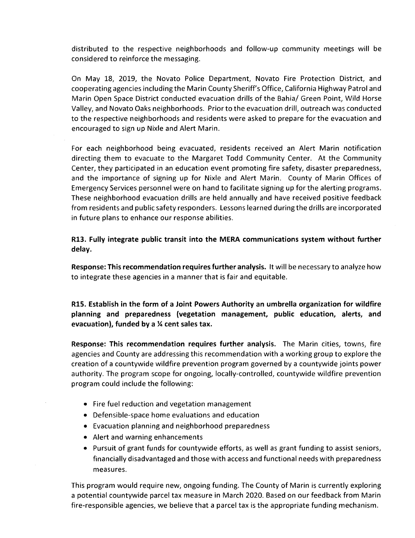distributed to the respective neighborhoods and follow-up community meetings will be considered to reinforce the messaging.

On May 18, 2019, the Novato Police Department, Novato Fire Protection District, and cooperating agencies including the Marin County Sheriff's Office, California Highway Patrol and Marin Open Space District conducted evacuation drills of the Bahia/ Green Point, Wild Horse Valley, and Novato Oaks neighborhoods. Prior to the evacuation drill, outreach was conducted to the respective neighborhoods and residents were asked to prepare for the evacuation and encouraged to sign up Nixle and Alert Marin.

For each neighborhood being evacuated, residents received an Alert Marin notification directing them to evacuate to the Margaret Todd Community Center. At the Community Center, they participated in an education event promoting fire safety, disaster preparedness, and the importance of signing up for Nixle and Alert Marin. County of Marin Offices of Emergency Services personnel were on hand to facilitate signing up for the alerting programs. These neighborhood evacuation drills are held annually and have received positive feedback from residents and public safety responders. Lessons learned during the drills are incorporated in future plans to enhance our response abilities.

**R13. Fully integrate public transit into the MERA communications system without further delay.** 

**Response: This recommendation requires further analysis.** It will be necessary to analyze how to integrate these agencies in a manner that is fair and equitable.

**R15. Establish in the form of a Joint Powers Authority an umbrella organization for wildfire planning and preparedness (vegetation management, public education, alerts, and evacuation), funded by a % cent sales tax.** 

**Response: This recommendation requires further analysis.** The Marin cities, towns, fire agencies and County are addressing this recommendation with a working group to explore the creation of a countywide wildfire prevention program governed by a countywide joints power authority. The program scope for ongoing, locally-controlled, countywide wildfire prevention program could include the following:

- Fire fuel reduction and vegetation management
- Defensible-space home evaluations and education
- Evacuation planning and neighborhood preparedness
- Alert and warning enhancements
- Pursuit of grant funds for countywide efforts, as well as grant funding to assist seniors, financially disadvantaged and those with access and functional needs with preparedness measures.

This program would require new, ongoing funding. The County of Marin is currently exploring a potential countywide parcel tax measure in March 2020. Based on our feedback from Marin fire-responsible agencies, we believe that a parcel tax is the appropriate funding mechanism.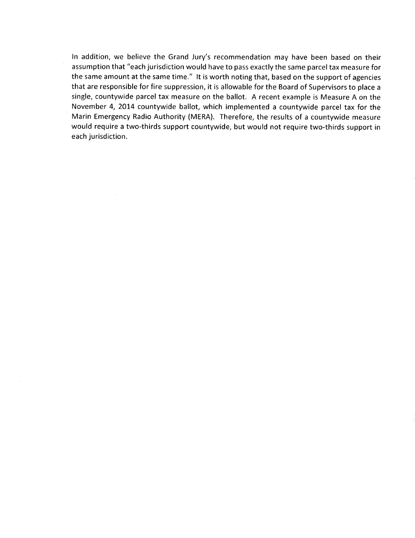In addition, we believe the Grand Jury's recommendation may have been based on their assumption that "each jurisdiction would have to pass exactly the same parcel tax measure for the same amount at the same time." It is worth noting that, based on the support of agencies that are responsible for fire suppression, it is allowable for the Board of Supervisors to place a single, countywide parcel tax measure on the ballot. A recent example is Measure A on the November 4, 2014 countywide ballot, which implemented a countywide parcel tax for the Marin Emergency Radio Authority (MERA). Therefore, the results of a countywide measure would require a two-thirds support countywide, but would not require two-thirds support in each jurisdiction.